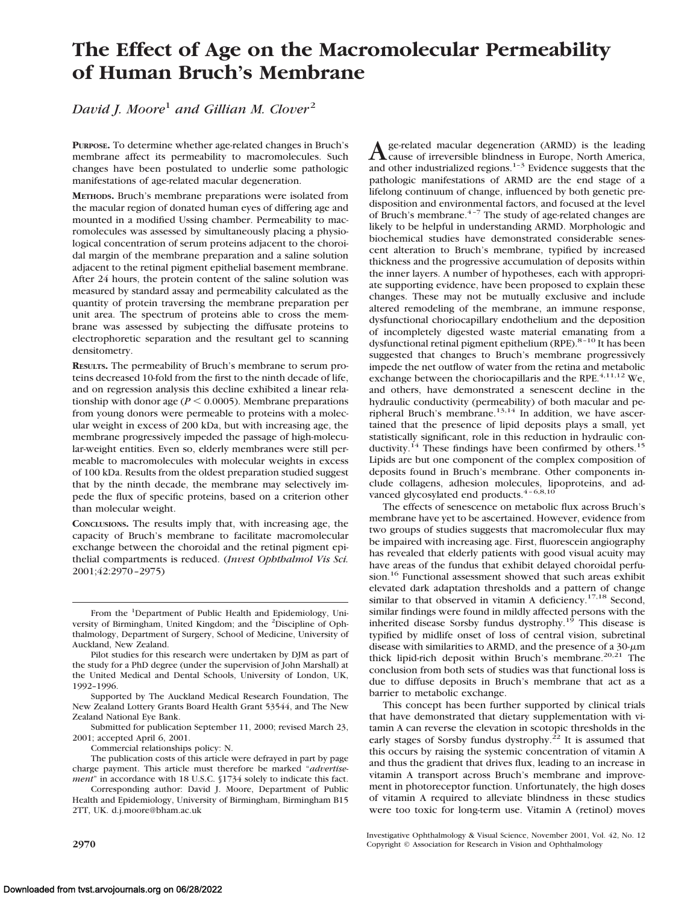# **The Effect of Age on the Macromolecular Permeability of Human Bruch's Membrane**

*David J. Moore*<sup>1</sup> *and Gillian M. Clover*<sup>2</sup>

**PURPOSE.** To determine whether age-related changes in Bruch's membrane affect its permeability to macromolecules. Such changes have been postulated to underlie some pathologic manifestations of age-related macular degeneration.

**METHODS.** Bruch's membrane preparations were isolated from the macular region of donated human eyes of differing age and mounted in a modified Ussing chamber. Permeability to macromolecules was assessed by simultaneously placing a physiological concentration of serum proteins adjacent to the choroidal margin of the membrane preparation and a saline solution adjacent to the retinal pigment epithelial basement membrane. After 24 hours, the protein content of the saline solution was measured by standard assay and permeability calculated as the quantity of protein traversing the membrane preparation per unit area. The spectrum of proteins able to cross the membrane was assessed by subjecting the diffusate proteins to electrophoretic separation and the resultant gel to scanning densitometry.

**RESULTS.** The permeability of Bruch's membrane to serum proteins decreased 10-fold from the first to the ninth decade of life, and on regression analysis this decline exhibited a linear relationship with donor age ( $P \le 0.0005$ ). Membrane preparations from young donors were permeable to proteins with a molecular weight in excess of 200 kDa, but with increasing age, the membrane progressively impeded the passage of high-molecular-weight entities. Even so, elderly membranes were still permeable to macromolecules with molecular weights in excess of 100 kDa. Results from the oldest preparation studied suggest that by the ninth decade, the membrane may selectively impede the flux of specific proteins, based on a criterion other than molecular weight.

**CONCLUSIONS.** The results imply that, with increasing age, the capacity of Bruch's membrane to facilitate macromolecular exchange between the choroidal and the retinal pigment epithelial compartments is reduced. (*Invest Ophthalmol Vis Sci.* 2001;42:2970–2975)

Supported by The Auckland Medical Research Foundation, The New Zealand Lottery Grants Board Health Grant 53544, and The New Zealand National Eye Bank.

Submitted for publication September 11, 2000; revised March 23, 2001; accepted April 6, 2001.

Commercial relationships policy: N.

A ge-related macular degeneration (ARMD) is the leading<br>cause of irreversible blindness in Europe, North America, and other industrialized regions. $1-3$  Evidence suggests that the pathologic manifestations of ARMD are the end stage of a lifelong continuum of change, influenced by both genetic predisposition and environmental factors, and focused at the level of Bruch's membrane. $4-7$  The study of age-related changes are likely to be helpful in understanding ARMD. Morphologic and biochemical studies have demonstrated considerable senescent alteration to Bruch's membrane, typified by increased thickness and the progressive accumulation of deposits within the inner layers. A number of hypotheses, each with appropriate supporting evidence, have been proposed to explain these changes. These may not be mutually exclusive and include altered remodeling of the membrane, an immune response, dysfunctional choriocapillary endothelium and the deposition of incompletely digested waste material emanating from a dysfunctional retinal pigment epithelium (RPE).<sup>8-10</sup> It has been suggested that changes to Bruch's membrane progressively impede the net outflow of water from the retina and metabolic exchange between the choriocapillaris and the RPE.<sup>4,11,12</sup> We, and others, have demonstrated a senescent decline in the hydraulic conductivity (permeability) of both macular and peripheral Bruch's membrane.<sup>13,14</sup> In addition, we have ascertained that the presence of lipid deposits plays a small, yet statistically significant, role in this reduction in hydraulic conductivity.<sup>14</sup> These findings have been confirmed by others.<sup>15</sup> Lipids are but one component of the complex composition of deposits found in Bruch's membrane. Other components include collagens, adhesion molecules, lipoproteins, and advanced glycosylated end products.<sup>4-6,8,10</sup>

The effects of senescence on metabolic flux across Bruch's membrane have yet to be ascertained. However, evidence from two groups of studies suggests that macromolecular flux may be impaired with increasing age. First, fluorescein angiography has revealed that elderly patients with good visual acuity may have areas of the fundus that exhibit delayed choroidal perfusion.<sup>16</sup> Functional assessment showed that such areas exhibit elevated dark adaptation thresholds and a pattern of change similar to that observed in vitamin A deficiency.<sup>17,18</sup> Second, similar findings were found in mildly affected persons with the inherited disease Sorsby fundus dystrophy.<sup>19</sup> This disease is typified by midlife onset of loss of central vision, subretinal disease with similarities to ARMD, and the presence of a  $30-\mu m$ thick lipid-rich deposit within Bruch's membrane.<sup>20,21</sup> The conclusion from both sets of studies was that functional loss is due to diffuse deposits in Bruch's membrane that act as a barrier to metabolic exchange.

This concept has been further supported by clinical trials that have demonstrated that dietary supplementation with vitamin A can reverse the elevation in scotopic thresholds in the early stages of Sorsby fundus dystrophy.<sup>22</sup> It is assumed that this occurs by raising the systemic concentration of vitamin A and thus the gradient that drives flux, leading to an increase in vitamin A transport across Bruch's membrane and improvement in photoreceptor function. Unfortunately, the high doses of vitamin A required to alleviate blindness in these studies were too toxic for long-term use. Vitamin A (retinol) moves

Investigative Ophthalmology & Visual Science, November 2001, Vol. 42, No. 12 **2970 Copyright** © Association for Research in Vision and Ophthalmology

From the <sup>1</sup>Department of Public Health and Epidemiology, University of Birmingham, United Kingdom; and the <sup>2</sup>Discipline of Ophthalmology, Department of Surgery, School of Medicine, University of Auckland, New Zealand.

Pilot studies for this research were undertaken by DJM as part of the study for a PhD degree (under the supervision of John Marshall) at the United Medical and Dental Schools, University of London, UK, 1992–1996.

The publication costs of this article were defrayed in part by page charge payment. This article must therefore be marked "*advertisement*" in accordance with 18 U.S.C. §1734 solely to indicate this fact.

Corresponding author: David J. Moore, Department of Public Health and Epidemiology, University of Birmingham, Birmingham B15 2TT, UK. d.j.moore@bham.ac.uk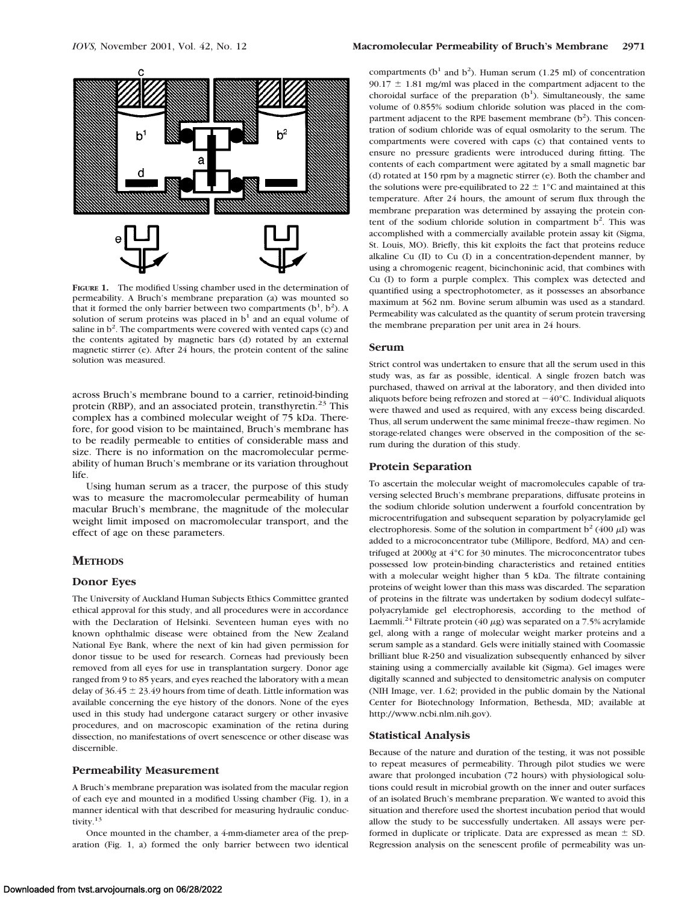

**FIGURE 1.** The modified Ussing chamber used in the determination of permeability. A Bruch's membrane preparation (a) was mounted so that it formed the only barrier between two compartments  $(b<sup>1</sup>, b<sup>2</sup>)$ . A solution of serum proteins was placed in  $b<sup>1</sup>$  and an equal volume of saline in b<sup>2</sup>. The compartments were covered with vented caps (c) and the contents agitated by magnetic bars (d) rotated by an external magnetic stirrer (e). After 24 hours, the protein content of the saline solution was measured.

across Bruch's membrane bound to a carrier, retinoid-binding protein (RBP), and an associated protein, transthyretin.<sup>23</sup> This complex has a combined molecular weight of 75 kDa. Therefore, for good vision to be maintained, Bruch's membrane has to be readily permeable to entities of considerable mass and size. There is no information on the macromolecular permeability of human Bruch's membrane or its variation throughout life.

Using human serum as a tracer, the purpose of this study was to measure the macromolecular permeability of human macular Bruch's membrane, the magnitude of the molecular weight limit imposed on macromolecular transport, and the effect of age on these parameters.

# **METHODS**

# **Donor Eyes**

The University of Auckland Human Subjects Ethics Committee granted ethical approval for this study, and all procedures were in accordance with the Declaration of Helsinki. Seventeen human eyes with no known ophthalmic disease were obtained from the New Zealand National Eye Bank, where the next of kin had given permission for donor tissue to be used for research. Corneas had previously been removed from all eyes for use in transplantation surgery. Donor age ranged from 9 to 85 years, and eyes reached the laboratory with a mean delay of  $36.45 \pm 23.49$  hours from time of death. Little information was available concerning the eye history of the donors. None of the eyes used in this study had undergone cataract surgery or other invasive procedures, and on macroscopic examination of the retina during dissection, no manifestations of overt senescence or other disease was discernible.

# **Permeability Measurement**

A Bruch's membrane preparation was isolated from the macular region of each eye and mounted in a modified Ussing chamber (Fig. 1), in a manner identical with that described for measuring hydraulic conductivity.13

Once mounted in the chamber, a 4-mm-diameter area of the preparation (Fig. 1, a) formed the only barrier between two identical

compartments ( $b<sup>1</sup>$  and  $b<sup>2</sup>$ ). Human serum (1.25 ml) of concentration 90.17  $\pm$  1.81 mg/ml was placed in the compartment adjacent to the choroidal surface of the preparation  $(b<sup>1</sup>)$ . Simultaneously, the same volume of 0.855% sodium chloride solution was placed in the compartment adjacent to the RPE basement membrane  $(b<sup>2</sup>)$ . This concentration of sodium chloride was of equal osmolarity to the serum. The compartments were covered with caps (c) that contained vents to ensure no pressure gradients were introduced during fitting. The contents of each compartment were agitated by a small magnetic bar (d) rotated at 150 rpm by a magnetic stirrer (e). Both the chamber and the solutions were pre-equilibrated to 22  $\pm$  1°C and maintained at this temperature. After 24 hours, the amount of serum flux through the membrane preparation was determined by assaying the protein content of the sodium chloride solution in compartment  $b^2$ . This was accomplished with a commercially available protein assay kit (Sigma, St. Louis, MO). Briefly, this kit exploits the fact that proteins reduce alkaline Cu (II) to Cu (I) in a concentration-dependent manner, by using a chromogenic reagent, bicinchoninic acid, that combines with Cu (I) to form a purple complex. This complex was detected and quantified using a spectrophotometer, as it possesses an absorbance maximum at 562 nm. Bovine serum albumin was used as a standard. Permeability was calculated as the quantity of serum protein traversing the membrane preparation per unit area in 24 hours.

### **Serum**

Strict control was undertaken to ensure that all the serum used in this study was, as far as possible, identical. A single frozen batch was purchased, thawed on arrival at the laboratory, and then divided into aliquots before being refrozen and stored at  $-40^{\circ}$ C. Individual aliquots were thawed and used as required, with any excess being discarded. Thus, all serum underwent the same minimal freeze–thaw regimen. No storage-related changes were observed in the composition of the serum during the duration of this study.

## **Protein Separation**

To ascertain the molecular weight of macromolecules capable of traversing selected Bruch's membrane preparations, diffusate proteins in the sodium chloride solution underwent a fourfold concentration by microcentrifugation and subsequent separation by polyacrylamide gel electrophoresis. Some of the solution in compartment  $b^2$  (400  $\mu$ I) was added to a microconcentrator tube (Millipore, Bedford, MA) and centrifuged at 2000*g* at 4°C for 30 minutes. The microconcentrator tubes possessed low protein-binding characteristics and retained entities with a molecular weight higher than 5 kDa. The filtrate containing proteins of weight lower than this mass was discarded. The separation of proteins in the filtrate was undertaken by sodium dodecyl sulfate– polyacrylamide gel electrophoresis, according to the method of Laemmli.<sup>24</sup> Filtrate protein (40  $\mu$ g) was separated on a 7.5% acrylamide gel, along with a range of molecular weight marker proteins and a serum sample as a standard. Gels were initially stained with Coomassie brilliant blue R-250 and visualization subsequently enhanced by silver staining using a commercially available kit (Sigma). Gel images were digitally scanned and subjected to densitometric analysis on computer (NIH Image, ver. 1.62; provided in the public domain by the National Center for Biotechnology Information, Bethesda, MD; available at http://www.ncbi.nlm.nih.gov).

# **Statistical Analysis**

Because of the nature and duration of the testing, it was not possible to repeat measures of permeability. Through pilot studies we were aware that prolonged incubation (72 hours) with physiological solutions could result in microbial growth on the inner and outer surfaces of an isolated Bruch's membrane preparation. We wanted to avoid this situation and therefore used the shortest incubation period that would allow the study to be successfully undertaken. All assays were performed in duplicate or triplicate. Data are expressed as mean  $\pm$  SD. Regression analysis on the senescent profile of permeability was un-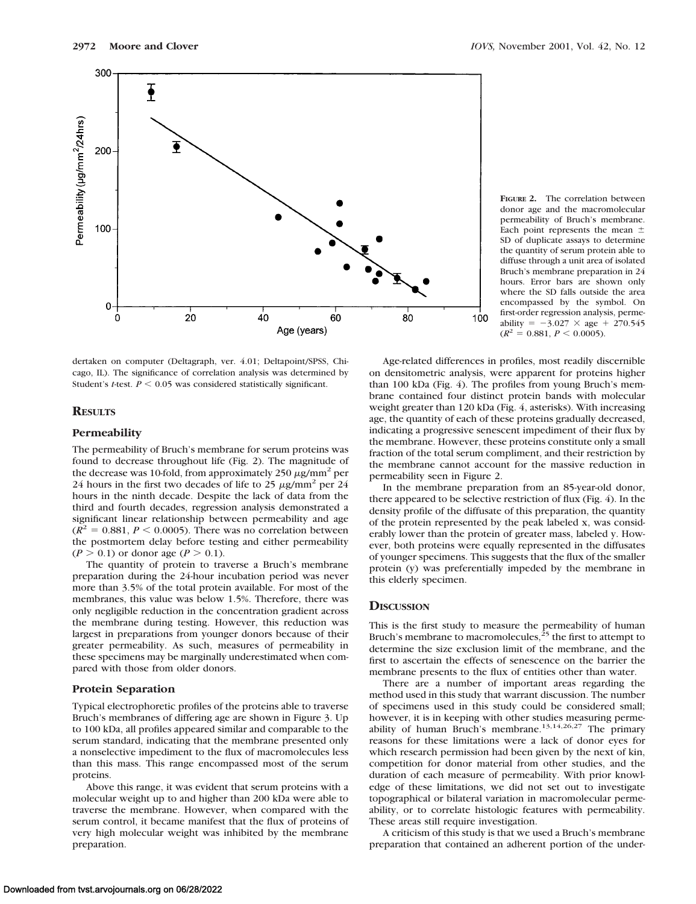

dertaken on computer (Deltagraph, ver. 4.01; Deltapoint/SPSS, Chicago, IL). The significance of correlation analysis was determined by Student's *t*-test.  $P \le 0.05$  was considered statistically significant.

# **RESULTS**

#### **Permeability**

The permeability of Bruch's membrane for serum proteins was found to decrease throughout life (Fig. 2). The magnitude of the decrease was 10-fold, from approximately  $250 \mu g/mm^2$  per 24 hours in the first two decades of life to 25  $\mu$ g/mm<sup>2</sup> per 24 hours in the ninth decade. Despite the lack of data from the third and fourth decades, regression analysis demonstrated a significant linear relationship between permeability and age  $(R^2 = 0.881, P \le 0.0005)$ . There was no correlation between the postmortem delay before testing and either permeability  $(P > 0.1)$  or donor age  $(P > 0.1)$ .

The quantity of protein to traverse a Bruch's membrane preparation during the 24-hour incubation period was never more than 3.5% of the total protein available. For most of the membranes, this value was below 1.5%. Therefore, there was only negligible reduction in the concentration gradient across the membrane during testing. However, this reduction was largest in preparations from younger donors because of their greater permeability. As such, measures of permeability in these specimens may be marginally underestimated when compared with those from older donors.

## **Protein Separation**

Typical electrophoretic profiles of the proteins able to traverse Bruch's membranes of differing age are shown in Figure 3. Up to 100 kDa, all profiles appeared similar and comparable to the serum standard, indicating that the membrane presented only a nonselective impediment to the flux of macromolecules less than this mass. This range encompassed most of the serum proteins.

Above this range, it was evident that serum proteins with a molecular weight up to and higher than 200 kDa were able to traverse the membrane. However, when compared with the serum control, it became manifest that the flux of proteins of very high molecular weight was inhibited by the membrane preparation.

**FIGURE 2.** The correlation between donor age and the macromolecular permeability of Bruch's membrane. Each point represents the mean  $\pm$ SD of duplicate assays to determine the quantity of serum protein able to diffuse through a unit area of isolated Bruch's membrane preparation in 24 hours. Error bars are shown only where the SD falls outside the area encompassed by the symbol. On first-order regression analysis, permeability =  $-3.027 \times age + 270.545$  $(R^2 = 0.881, P \le 0.0005).$ 

Age-related differences in profiles, most readily discernible on densitometric analysis, were apparent for proteins higher than 100 kDa (Fig. 4). The profiles from young Bruch's membrane contained four distinct protein bands with molecular weight greater than 120 kDa (Fig. 4, asterisks). With increasing age, the quantity of each of these proteins gradually decreased, indicating a progressive senescent impediment of their flux by the membrane. However, these proteins constitute only a small fraction of the total serum compliment, and their restriction by the membrane cannot account for the massive reduction in permeability seen in Figure 2.

In the membrane preparation from an 85-year-old donor, there appeared to be selective restriction of flux (Fig. 4). In the density profile of the diffusate of this preparation, the quantity of the protein represented by the peak labeled x, was considerably lower than the protein of greater mass, labeled y. However, both proteins were equally represented in the diffusates of younger specimens. This suggests that the flux of the smaller protein (y) was preferentially impeded by the membrane in this elderly specimen.

#### **DISCUSSION**

This is the first study to measure the permeability of human Bruch's membrane to macromolecules, $^{25}$  the first to attempt to determine the size exclusion limit of the membrane, and the first to ascertain the effects of senescence on the barrier the membrane presents to the flux of entities other than water.

There are a number of important areas regarding the method used in this study that warrant discussion. The number of specimens used in this study could be considered small; however, it is in keeping with other studies measuring permeability of human Bruch's membrane.<sup>13,14,26,27</sup> The primary reasons for these limitations were a lack of donor eyes for which research permission had been given by the next of kin, competition for donor material from other studies, and the duration of each measure of permeability. With prior knowledge of these limitations, we did not set out to investigate topographical or bilateral variation in macromolecular permeability, or to correlate histologic features with permeability. These areas still require investigation.

A criticism of this study is that we used a Bruch's membrane preparation that contained an adherent portion of the under-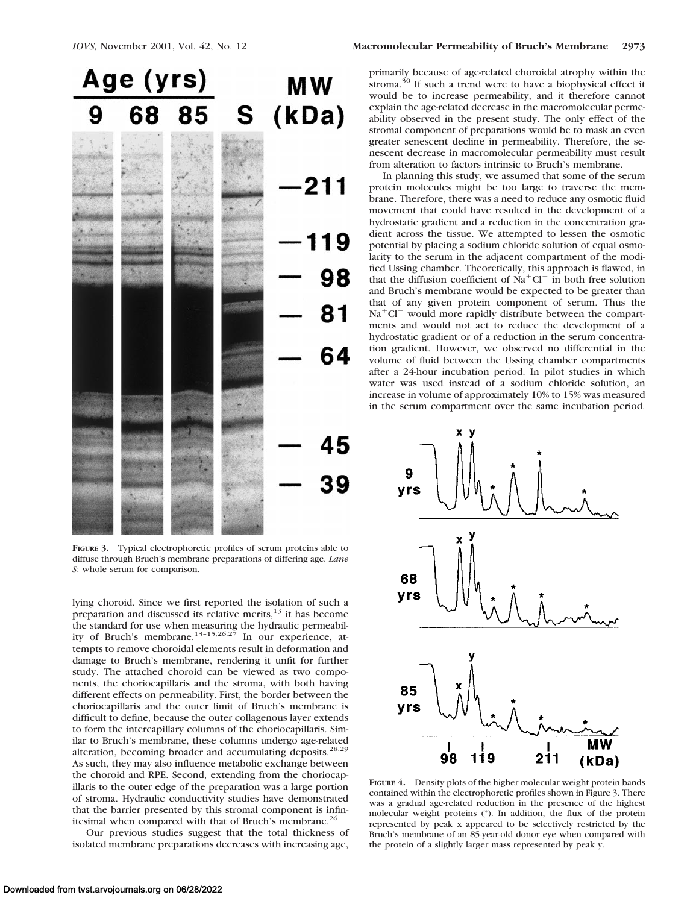

**FIGURE 3.** Typical electrophoretic profiles of serum proteins able to diffuse through Bruch's membrane preparations of differing age. *Lane S*: whole serum for comparison.

lying choroid. Since we first reported the isolation of such a preparation and discussed its relative merits,<sup>13</sup> it has become the standard for use when measuring the hydraulic permeability of Bruch's membrane.<sup>13-15,26,27</sup> In our experience, attempts to remove choroidal elements result in deformation and damage to Bruch's membrane, rendering it unfit for further study. The attached choroid can be viewed as two components, the choriocapillaris and the stroma, with both having different effects on permeability. First, the border between the choriocapillaris and the outer limit of Bruch's membrane is difficult to define, because the outer collagenous layer extends to form the intercapillary columns of the choriocapillaris. Similar to Bruch's membrane, these columns undergo age-related alteration, becoming broader and accumulating deposits.<sup>28,29</sup> As such, they may also influence metabolic exchange between the choroid and RPE. Second, extending from the choriocapillaris to the outer edge of the preparation was a large portion of stroma. Hydraulic conductivity studies have demonstrated that the barrier presented by this stromal component is infinitesimal when compared with that of Bruch's membrane.<sup>26</sup>

Our previous studies suggest that the total thickness of isolated membrane preparations decreases with increasing age,

primarily because of age-related choroidal atrophy within the stroma. $30$  If such a trend were to have a biophysical effect it would be to increase permeability, and it therefore cannot explain the age-related decrease in the macromolecular permeability observed in the present study. The only effect of the stromal component of preparations would be to mask an even greater senescent decline in permeability. Therefore, the senescent decrease in macromolecular permeability must result from alteration to factors intrinsic to Bruch's membrane.

In planning this study, we assumed that some of the serum protein molecules might be too large to traverse the membrane. Therefore, there was a need to reduce any osmotic fluid movement that could have resulted in the development of a hydrostatic gradient and a reduction in the concentration gradient across the tissue. We attempted to lessen the osmotic potential by placing a sodium chloride solution of equal osmolarity to the serum in the adjacent compartment of the modified Ussing chamber. Theoretically, this approach is flawed, in that the diffusion coefficient of  $Na<sup>+</sup>Cl<sup>-</sup>$  in both free solution and Bruch's membrane would be expected to be greater than that of any given protein component of serum. Thus the  $Na<sup>+</sup>Cl<sup>-</sup>$  would more rapidly distribute between the compartments and would not act to reduce the development of a hydrostatic gradient or of a reduction in the serum concentration gradient. However, we observed no differential in the volume of fluid between the Ussing chamber compartments after a 24-hour incubation period. In pilot studies in which water was used instead of a sodium chloride solution, an increase in volume of approximately 10% to 15% was measured in the serum compartment over the same incubation period.



**FIGURE 4.** Density plots of the higher molecular weight protein bands contained within the electrophoretic profiles shown in Figure 3. There was a gradual age-related reduction in the presence of the highest molecular weight proteins (\*). In addition, the flux of the protein represented by peak x appeared to be selectively restricted by the Bruch's membrane of an 85-year-old donor eye when compared with the protein of a slightly larger mass represented by peak y.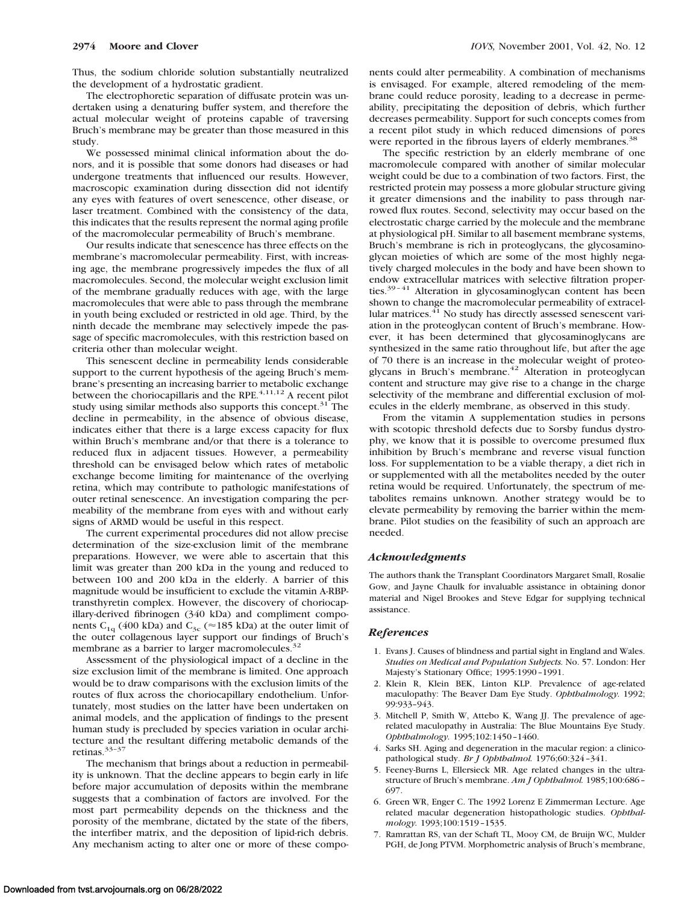Thus, the sodium chloride solution substantially neutralized the development of a hydrostatic gradient.

The electrophoretic separation of diffusate protein was undertaken using a denaturing buffer system, and therefore the actual molecular weight of proteins capable of traversing Bruch's membrane may be greater than those measured in this study.

We possessed minimal clinical information about the donors, and it is possible that some donors had diseases or had undergone treatments that influenced our results. However, macroscopic examination during dissection did not identify any eyes with features of overt senescence, other disease, or laser treatment. Combined with the consistency of the data, this indicates that the results represent the normal aging profile of the macromolecular permeability of Bruch's membrane.

Our results indicate that senescence has three effects on the membrane's macromolecular permeability. First, with increasing age, the membrane progressively impedes the flux of all macromolecules. Second, the molecular weight exclusion limit of the membrane gradually reduces with age, with the large macromolecules that were able to pass through the membrane in youth being excluded or restricted in old age. Third, by the ninth decade the membrane may selectively impede the passage of specific macromolecules, with this restriction based on criteria other than molecular weight.

This senescent decline in permeability lends considerable support to the current hypothesis of the ageing Bruch's membrane's presenting an increasing barrier to metabolic exchange between the choriocapillaris and the RPE. $4,11,12$  A recent pilot study using similar methods also supports this concept.<sup>31</sup> The decline in permeability, in the absence of obvious disease, indicates either that there is a large excess capacity for flux within Bruch's membrane and/or that there is a tolerance to reduced flux in adjacent tissues. However, a permeability threshold can be envisaged below which rates of metabolic exchange become limiting for maintenance of the overlying retina, which may contribute to pathologic manifestations of outer retinal senescence. An investigation comparing the permeability of the membrane from eyes with and without early signs of ARMD would be useful in this respect.

The current experimental procedures did not allow precise determination of the size-exclusion limit of the membrane preparations. However, we were able to ascertain that this limit was greater than 200 kDa in the young and reduced to between 100 and 200 kDa in the elderly. A barrier of this magnitude would be insufficient to exclude the vitamin A-RBPtransthyretin complex. However, the discovery of choriocapillary-derived fibrinogen (340 kDa) and compliment components C<sub>1q</sub> (400 kDa) and C<sub>3c</sub> ( $\approx$  185 kDa) at the outer limit of the outer collagenous layer support our findings of Bruch's membrane as a barrier to larger macromolecules.<sup>32</sup>

Assessment of the physiological impact of a decline in the size exclusion limit of the membrane is limited. One approach would be to draw comparisons with the exclusion limits of the routes of flux across the choriocapillary endothelium. Unfortunately, most studies on the latter have been undertaken on animal models, and the application of findings to the present human study is precluded by species variation in ocular architecture and the resultant differing metabolic demands of the retinas.33–37

The mechanism that brings about a reduction in permeability is unknown. That the decline appears to begin early in life before major accumulation of deposits within the membrane suggests that a combination of factors are involved. For the most part permeability depends on the thickness and the porosity of the membrane, dictated by the state of the fibers, the interfiber matrix, and the deposition of lipid-rich debris. Any mechanism acting to alter one or more of these components could alter permeability. A combination of mechanisms is envisaged. For example, altered remodeling of the membrane could reduce porosity, leading to a decrease in permeability, precipitating the deposition of debris, which further decreases permeability. Support for such concepts comes from a recent pilot study in which reduced dimensions of pores were reported in the fibrous layers of elderly membranes.<sup>38</sup>

The specific restriction by an elderly membrane of one macromolecule compared with another of similar molecular weight could be due to a combination of two factors. First, the restricted protein may possess a more globular structure giving it greater dimensions and the inability to pass through narrowed flux routes. Second, selectivity may occur based on the electrostatic charge carried by the molecule and the membrane at physiological pH. Similar to all basement membrane systems, Bruch's membrane is rich in proteoglycans, the glycosaminoglycan moieties of which are some of the most highly negatively charged molecules in the body and have been shown to endow extracellular matrices with selective filtration properties.<sup>39-41</sup> Alteration in glycosaminoglycan content has been shown to change the macromolecular permeability of extracellular matrices.<sup>41</sup> No study has directly assessed senescent variation in the proteoglycan content of Bruch's membrane. However, it has been determined that glycosaminoglycans are synthesized in the same ratio throughout life, but after the age of 70 there is an increase in the molecular weight of proteoglycans in Bruch's membrane.<sup>42</sup> Alteration in proteoglycan content and structure may give rise to a change in the charge selectivity of the membrane and differential exclusion of molecules in the elderly membrane, as observed in this study.

From the vitamin A supplementation studies in persons with scotopic threshold defects due to Sorsby fundus dystrophy, we know that it is possible to overcome presumed flux inhibition by Bruch's membrane and reverse visual function loss. For supplementation to be a viable therapy, a diet rich in or supplemented with all the metabolites needed by the outer retina would be required. Unfortunately, the spectrum of metabolites remains unknown. Another strategy would be to elevate permeability by removing the barrier within the membrane. Pilot studies on the feasibility of such an approach are needed.

### *Acknowledgments*

The authors thank the Transplant Coordinators Margaret Small, Rosalie Gow, and Jayne Chaulk for invaluable assistance in obtaining donor material and Nigel Brookes and Steve Edgar for supplying technical assistance.

#### *References*

- 1. Evans J. Causes of blindness and partial sight in England and Wales. *Studies on Medical and Population Subjects.* No. 57. London: Her Majesty's Stationary Office; 1995:1990–1991.
- 2. Klein R, Klein BEK, Linton KLP. Prevalence of age-related maculopathy: The Beaver Dam Eye Study. *Ophthalmology.* 1992; 99:933–943.
- 3. Mitchell P, Smith W, Attebo K, Wang JJ. The prevalence of agerelated maculopathy in Australia: The Blue Mountains Eye Study. *Ophthalmology.* 1995;102:1450–1460.
- 4. Sarks SH. Aging and degeneration in the macular region: a clinicopathological study. *Br J Ophthalmol.* 1976;60:324–341.
- 5. Feeney-Burns L, Ellersieck MR. Age related changes in the ultrastructure of Bruch's membrane. *Am J Ophthalmol.* 1985;100:686– 697.
- 6. Green WR, Enger C. The 1992 Lorenz E Zimmerman Lecture. Age related macular degeneration histopathologic studies. *Ophthalmology.* 1993;100:1519–1535.
- 7. Ramrattan RS, van der Schaft TL, Mooy CM, de Bruijn WC, Mulder PGH, de Jong PTVM. Morphometric analysis of Bruch's membrane,